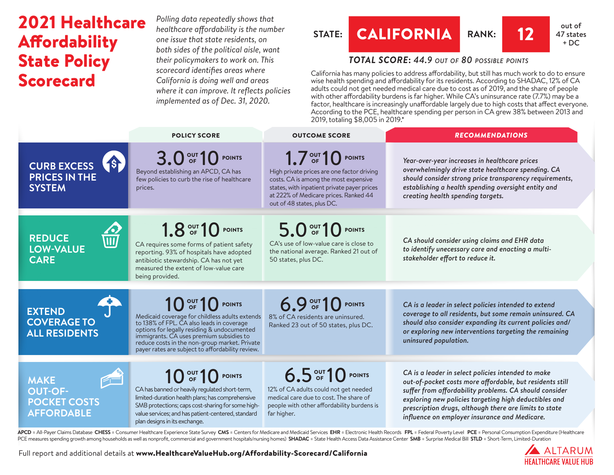# 2021 Healthcare **Affordability** State Policy Scorecard

*Polling data repeatedly shows that healthcare affordability is the number one issue that state residents, on both sides of the political aisle, want their policymakers to work on. This scorecard identifies areas where California is doing well and areas where it can improve. It reflects policies implemented as of Dec. 31, 2020.*

## **STATE: CALIFORNIA RANK:** 12 **47** state



## *TOTAL SCORE***:** *44.9 out of 80 possible points*

California has many policies to address affordability, but still has much work to do to ensure wise health spending and affordability for its residents. According to SHADAC, 12% of CA adults could not get needed medical care due to cost as of 2019, and the share of people with other affordability burdens is far higher. While CA's uninsurance rate (7.7%) may be a factor, healthcare is increasingly unaffordable largely due to high costs that affect everyone. According to the PCE, healthcare spending per person in CA grew 38% between 2013 and 2019, totaling \$8,005 in 2019.\*

|                                                                                         | <b>POLICY SCORE</b>                                                                                                                                                                                                                                                                                                                  | <b>OUTCOME SCORE</b>                                                                                                                                                                                                           | <b>RECOMMENDATIONS</b>                                                                                                                                                                                                                                                                                                                       |
|-----------------------------------------------------------------------------------------|--------------------------------------------------------------------------------------------------------------------------------------------------------------------------------------------------------------------------------------------------------------------------------------------------------------------------------------|--------------------------------------------------------------------------------------------------------------------------------------------------------------------------------------------------------------------------------|----------------------------------------------------------------------------------------------------------------------------------------------------------------------------------------------------------------------------------------------------------------------------------------------------------------------------------------------|
| <b>S</b><br><b>CURB EXCESS</b><br><b>PRICES IN THE</b><br><b>SYSTEM</b>                 | 3.0 OF 10 POINTS<br>Beyond establishing an APCD, CA has<br>few policies to curb the rise of healthcare<br>prices.                                                                                                                                                                                                                    | 1.7 OUT 10 POINTS<br>High private prices are one factor driving<br>costs. CA is among the most expensive<br>states, with inpatient private payer prices<br>at 222% of Medicare prices. Ranked 44<br>out of 48 states, plus DC. | Year-over-year increases in healthcare prices<br>overwhelmingly drive state healthcare spending. CA<br>should consider strong price transparency requirements,<br>establishing a health spending oversight entity and<br>creating health spending targets.                                                                                   |
| <b>Z2</b><br>WI<br><b>REDUCE</b><br>LOW-VALUE<br><b>CARE</b>                            | 1.8 OUT 10 POINTS<br>CA requires some forms of patient safety<br>reporting. 93% of hospitals have adopted<br>antibiotic stewardship. CA has not yet<br>measured the extent of low-value care<br>being provided.                                                                                                                      | 5.0 OF 10 POINTS<br>CA's use of low-value care is close to<br>the national average. Ranked 21 out of<br>50 states, plus DC.                                                                                                    | CA should consider using claims and EHR data<br>to identify unecessary care and enacting a multi-<br>stakeholder effort to reduce it.                                                                                                                                                                                                        |
| <b>EXTEND</b><br><b>COVERAGE TO</b><br><b>ALL RESIDENTS</b>                             | 10 <sup>out</sup> 10 <sup>point</sup><br>Medicaid coverage for childless adults extends<br>to 138% of FPL. CA also leads in coverage<br>options for legally residing & undocumented<br>immigrants. CA uses premium subsidies to<br>reduce costs in the non-group market. Private<br>payer rates are subject to affordability review. | 6.9 OUT 10 POINTS<br>8% of CA residents are uninsured.<br>Ranked 23 out of 50 states, plus DC.                                                                                                                                 | CA is a leader in select policies intended to extend<br>coverage to all residents, but some remain uninsured. CA<br>should also consider expanding its current policies and/<br>or exploring new interventions targeting the remaining<br>uninsured population.                                                                              |
| $\epsilon$<br><b>MAKE</b><br><b>OUT-OF-</b><br><b>POCKET COSTS</b><br><b>AFFORDABLE</b> | $1090T$ 10 POINTS<br>CA has banned or heavily regulated short-term,<br>limited-duration health plans; has comprehensive<br>SMB protections; caps cost-sharing for some high-<br>value services; and has patient-centered, standard<br>plan designs in its exchange.                                                                  | 6.5 OUT 10 POINTS<br>12% of CA adults could not get needed<br>medical care due to cost. The share of<br>people with other affordability burdens is<br>far higher.                                                              | CA is a leader in select policies intended to make<br>out-of-pocket costs more affordable, but residents still<br>suffer from affordability problems. CA should consider<br>exploring new policies targeting high deductibles and<br>prescription drugs, although there are limits to state<br>influence on employer insurance and Medicare. |

APCD = All-Payer Claims Database CHESS = Consumer Healthcare Experience State Survey CMS = Centers for Medicare and Medicaid Services EHR = Electronic Health Records FPL = Federal Poverty Level PCE = Personal Consumption E PCE measures spending growth among households as well as nonprofit, commercial and government hospitals/nursing homes) SHADAC = State Health Access Data Assistance Center SMB = Surprise Medical Bill STLD = Short-Term, Limi

> A ALTARUM **HEALTHCARE VALUE HUR**

Full report and additional details at [www.HealthcareValueHub.org/Affordability-Scorecard/C](https://www.HealthcareValueHub.org/Affordability-Scorecard/California)alifornia